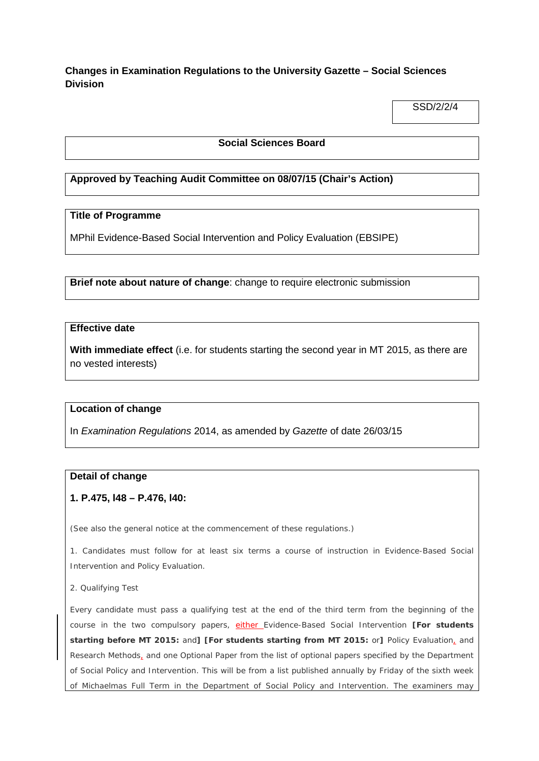# **Changes in Examination Regulations to the University Gazette – Social Sciences Division**

SSD/2/2/4

#### **Social Sciences Board**

# **Approved by Teaching Audit Committee on 08/07/15 (Chair's Action)**

## **Title of Programme**

MPhil Evidence-Based Social Intervention and Policy Evaluation (EBSIPE)

**Brief note about nature of change**: change to require electronic submission

## **Effective date**

**With immediate effect** (i.e. for students starting the second year in MT 2015, as there are no vested interests)

#### **Location of change**

In *Examination Regulations* 2014, as amended by *Gazette* of date 26/03/15

## **Detail of change**

## **1. P.475, l48 – P.476, l40:**

(*See also the general notice at the commencement of these regulations.*)

1. Candidates must follow for at least six terms a course of instruction in Evidence-Based Social Intervention and Policy Evaluation.

#### 2. *Qualifying Test*

Every candidate must pass a qualifying test at the end of the third term from the beginning of the course in the *two* compulsory papers, either *Evidence-Based Social Intervention* **[For students starting before MT 2015:** and**] [For students starting from MT 2015:** or**]** *Policy Evaluation*, and *Research Methods,* and one *Optional Paper* from the list of optional papers specified by the Department of Social Policy and Intervention. This will be from a list published annually by Friday of the sixth week of Michaelmas Full Term in the Department of Social Policy and Intervention. The examiners may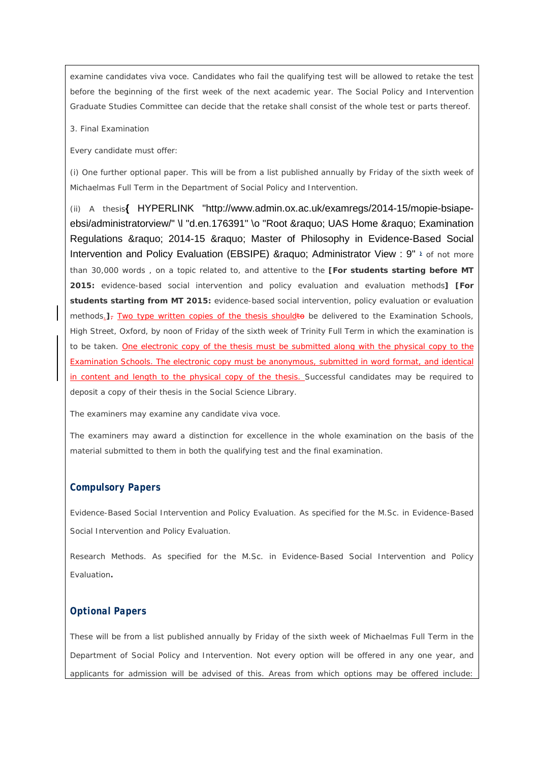examine candidates viva voce. Candidates who fail the qualifying test will be allowed to retake the test before the beginning of the first week of the next academic year. The Social Policy and Intervention Graduate Studies Committee can decide that the retake shall consist of the whole test or parts thereof.

#### 3. *Final Examination*

Every candidate must offer:

(i) One further optional paper. This will be from a list published annually by Friday of the sixth week of Michaelmas Full Term in the Department of Social Policy and Intervention.

(ii) A thesis**{** [HYPERLINK "http://www.admin.ox.ac.uk/examregs/2014-15/mopie-bsiape](http://www.admin.ox.ac.uk/examregs/2014-15/mopie-bsiape-ebsi/administratorview/%23d.en.176391)ebsi/administratorview/" \l "d.en.176391" \o "Root » UAS Home » Examination Regulations » 2014-15 » Master of Philosophy in Evidence-Based Social [Intervention and Policy Evaluation \(EBSIPE\) » Administrator View : 9"](http://www.admin.ox.ac.uk/examregs/2014-15/mopie-bsiape-ebsi/administratorview/%23d.en.176391) <sup>2</sup> of not more than 30,000 words , on a topic related to, and attentive to the **[For students starting before MT 2015:** evidence-based social intervention and policy evaluation and evaluation methods**] [For students starting from MT 2015:** evidence-based social intervention, policy evaluation or evaluation methods.<sup>1</sup>/<sub>7</sub> Two type written copies of the thesis shouldto be delivered to the Examination Schools, High Street, Oxford, by noon of Friday of the sixth week of Trinity Full Term in which the examination is to be taken. One electronic copy of the thesis must be submitted along with the physical copy to the Examination Schools. The electronic copy must be anonymous, submitted in word format, and identical in content and length to the physical copy of the thesis. Successful candidates may be required to deposit a copy of their thesis in the Social Science Library.

The examiners may examine any candidate viva voce.

The examiners may award a distinction for excellence in the whole examination on the basis of the material submitted to them in both the qualifying test and the final examination.

#### *Compulsory Papers*

*Evidence-Based Social Intervention and Policy Evaluation*. As specified for the M.Sc. in Evidence-Based Social Intervention and Policy Evaluation.

*Research Methods*. As specified for the M.Sc. in Evidence-Based Social Intervention and Policy Evaluation**.**

#### *Optional Papers*

These will be from a list published annually by Friday of the sixth week of Michaelmas Full Term in the Department of Social Policy and Intervention. Not every option will be offered in any one year, and applicants for admission will be advised of this. Areas from which options may be offered include: